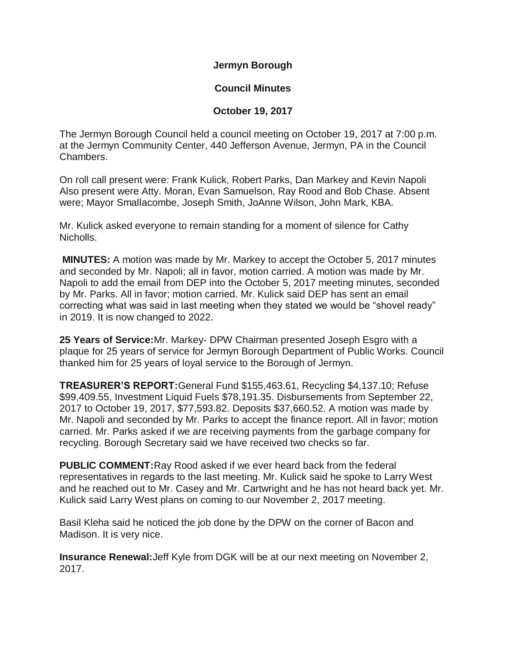**Jermyn Borough**

## **Council Minutes**

## **October 19, 2017**

The Jermyn Borough Council held a council meeting on October 19, 2017 at 7:00 p.m. at the Jermyn Community Center, 440 Jefferson Avenue, Jermyn, PA in the Council Chambers.

On roll call present were: Frank Kulick, Robert Parks, Dan Markey and Kevin Napoli Also present were Atty. Moran, Evan Samuelson, Ray Rood and Bob Chase. Absent were; Mayor Smallacombe, Joseph Smith, JoAnne Wilson, John Mark, KBA.

Mr. Kulick asked everyone to remain standing for a moment of silence for Cathy Nicholls.

**MINUTES:** A motion was made by Mr. Markey to accept the October 5, 2017 minutes and seconded by Mr. Napoli; all in favor, motion carried. A motion was made by Mr. Napoli to add the email from DEP into the October 5, 2017 meeting minutes, seconded by Mr. Parks. All in favor; motion carried. Mr. Kulick said DEP has sent an email correcting what was said in last meeting when they stated we would be "shovel ready" in 2019. It is now changed to 2022.

**25 Years of Service:**Mr. Markey- DPW Chairman presented Joseph Esgro with a plaque for 25 years of service for Jermyn Borough Department of Public Works. Council thanked him for 25 years of loyal service to the Borough of Jermyn.

**TREASURER'S REPORT:**General Fund \$155,463.61, Recycling \$4,137.10; Refuse \$99,409.55, Investment Liquid Fuels \$78,191.35. Disbursements from September 22, 2017 to October 19, 2017, \$77,593.82. Deposits \$37,660.52. A motion was made by Mr. Napoli and seconded by Mr. Parks to accept the finance report. All in favor; motion carried. Mr. Parks asked if we are receiving payments from the garbage company for recycling. Borough Secretary said we have received two checks so far.

**PUBLIC COMMENT:**Ray Rood asked if we ever heard back from the federal representatives in regards to the last meeting. Mr. Kulick said he spoke to Larry West and he reached out to Mr. Casey and Mr. Cartwright and he has not heard back yet. Mr. Kulick said Larry West plans on coming to our November 2, 2017 meeting.

Basil Kleha said he noticed the job done by the DPW on the corner of Bacon and Madison. It is very nice.

**Insurance Renewal:**Jeff Kyle from DGK will be at our next meeting on November 2, 2017.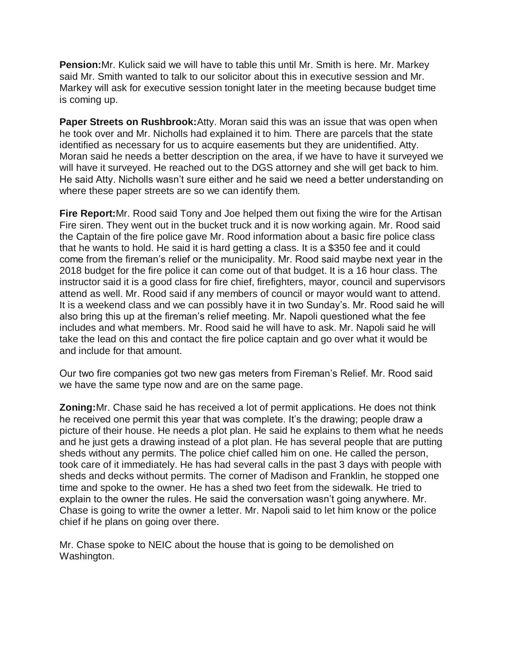**Pension:**Mr. Kulick said we will have to table this until Mr. Smith is here. Mr. Markey said Mr. Smith wanted to talk to our solicitor about this in executive session and Mr. Markey will ask for executive session tonight later in the meeting because budget time is coming up.

**Paper Streets on Rushbrook:**Atty. Moran said this was an issue that was open when he took over and Mr. Nicholls had explained it to him. There are parcels that the state identified as necessary for us to acquire easements but they are unidentified. Atty. Moran said he needs a better description on the area, if we have to have it surveyed we will have it surveyed. He reached out to the DGS attorney and she will get back to him. He said Atty. Nicholls wasn't sure either and he said we need a better understanding on where these paper streets are so we can identify them.

**Fire Report:**Mr. Rood said Tony and Joe helped them out fixing the wire for the Artisan Fire siren. They went out in the bucket truck and it is now working again. Mr. Rood said the Captain of the fire police gave Mr. Rood information about a basic fire police class that he wants to hold. He said it is hard getting a class. It is a \$350 fee and it could come from the fireman's relief or the municipality. Mr. Rood said maybe next year in the 2018 budget for the fire police it can come out of that budget. It is a 16 hour class. The instructor said it is a good class for fire chief, firefighters, mayor, council and supervisors attend as well. Mr. Rood said if any members of council or mayor would want to attend. It is a weekend class and we can possibly have it in two Sunday's. Mr. Rood said he will also bring this up at the fireman's relief meeting. Mr. Napoli questioned what the fee includes and what members. Mr. Rood said he will have to ask. Mr. Napoli said he will take the lead on this and contact the fire police captain and go over what it would be and include for that amount.

Our two fire companies got two new gas meters from Fireman's Relief. Mr. Rood said we have the same type now and are on the same page.

**Zoning:**Mr. Chase said he has received a lot of permit applications. He does not think he received one permit this year that was complete. It's the drawing; people draw a picture of their house. He needs a plot plan. He said he explains to them what he needs and he just gets a drawing instead of a plot plan. He has several people that are putting sheds without any permits. The police chief called him on one. He called the person, took care of it immediately. He has had several calls in the past 3 days with people with sheds and decks without permits. The corner of Madison and Franklin, he stopped one time and spoke to the owner. He has a shed two feet from the sidewalk. He tried to explain to the owner the rules. He said the conversation wasn't going anywhere. Mr. Chase is going to write the owner a letter. Mr. Napoli said to let him know or the police chief if he plans on going over there.

Mr. Chase spoke to NEIC about the house that is going to be demolished on Washington.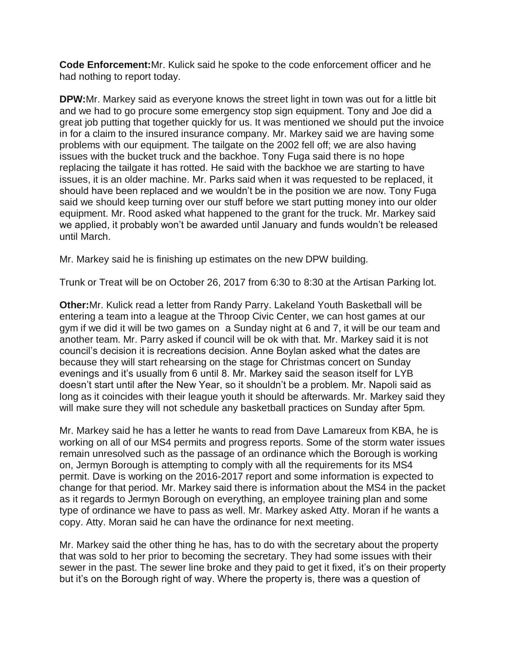**Code Enforcement:**Mr. Kulick said he spoke to the code enforcement officer and he had nothing to report today.

**DPW:**Mr. Markey said as everyone knows the street light in town was out for a little bit and we had to go procure some emergency stop sign equipment. Tony and Joe did a great job putting that together quickly for us. It was mentioned we should put the invoice in for a claim to the insured insurance company. Mr. Markey said we are having some problems with our equipment. The tailgate on the 2002 fell off; we are also having issues with the bucket truck and the backhoe. Tony Fuga said there is no hope replacing the tailgate it has rotted. He said with the backhoe we are starting to have issues, it is an older machine. Mr. Parks said when it was requested to be replaced, it should have been replaced and we wouldn't be in the position we are now. Tony Fuga said we should keep turning over our stuff before we start putting money into our older equipment. Mr. Rood asked what happened to the grant for the truck. Mr. Markey said we applied, it probably won't be awarded until January and funds wouldn't be released until March.

Mr. Markey said he is finishing up estimates on the new DPW building.

Trunk or Treat will be on October 26, 2017 from 6:30 to 8:30 at the Artisan Parking lot.

**Other:**Mr. Kulick read a letter from Randy Parry. Lakeland Youth Basketball will be entering a team into a league at the Throop Civic Center, we can host games at our gym if we did it will be two games on a Sunday night at 6 and 7, it will be our team and another team. Mr. Parry asked if council will be ok with that. Mr. Markey said it is not council's decision it is recreations decision. Anne Boylan asked what the dates are because they will start rehearsing on the stage for Christmas concert on Sunday evenings and it's usually from 6 until 8. Mr. Markey said the season itself for LYB doesn't start until after the New Year, so it shouldn't be a problem. Mr. Napoli said as long as it coincides with their league youth it should be afterwards. Mr. Markey said they will make sure they will not schedule any basketball practices on Sunday after 5pm.

Mr. Markey said he has a letter he wants to read from Dave Lamareux from KBA, he is working on all of our MS4 permits and progress reports. Some of the storm water issues remain unresolved such as the passage of an ordinance which the Borough is working on, Jermyn Borough is attempting to comply with all the requirements for its MS4 permit. Dave is working on the 2016-2017 report and some information is expected to change for that period. Mr. Markey said there is information about the MS4 in the packet as it regards to Jermyn Borough on everything, an employee training plan and some type of ordinance we have to pass as well. Mr. Markey asked Atty. Moran if he wants a copy. Atty. Moran said he can have the ordinance for next meeting.

Mr. Markey said the other thing he has, has to do with the secretary about the property that was sold to her prior to becoming the secretary. They had some issues with their sewer in the past. The sewer line broke and they paid to get it fixed, it's on their property but it's on the Borough right of way. Where the property is, there was a question of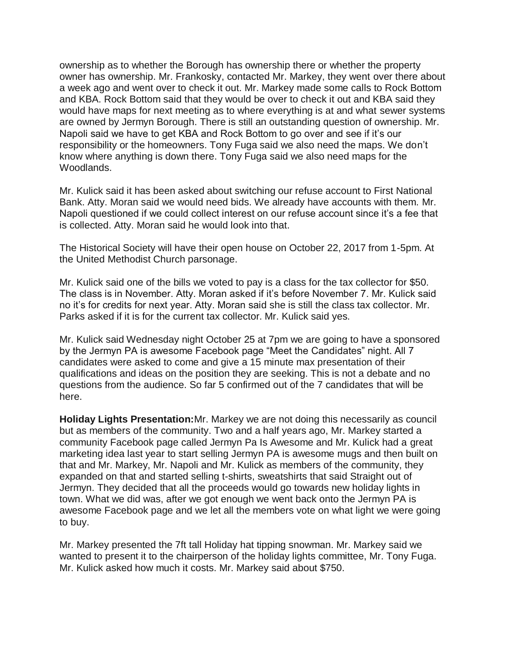ownership as to whether the Borough has ownership there or whether the property owner has ownership. Mr. Frankosky, contacted Mr. Markey, they went over there about a week ago and went over to check it out. Mr. Markey made some calls to Rock Bottom and KBA. Rock Bottom said that they would be over to check it out and KBA said they would have maps for next meeting as to where everything is at and what sewer systems are owned by Jermyn Borough. There is still an outstanding question of ownership. Mr. Napoli said we have to get KBA and Rock Bottom to go over and see if it's our responsibility or the homeowners. Tony Fuga said we also need the maps. We don't know where anything is down there. Tony Fuga said we also need maps for the Woodlands.

Mr. Kulick said it has been asked about switching our refuse account to First National Bank. Atty. Moran said we would need bids. We already have accounts with them. Mr. Napoli questioned if we could collect interest on our refuse account since it's a fee that is collected. Atty. Moran said he would look into that.

The Historical Society will have their open house on October 22, 2017 from 1-5pm. At the United Methodist Church parsonage.

Mr. Kulick said one of the bills we voted to pay is a class for the tax collector for \$50. The class is in November. Atty. Moran asked if it's before November 7. Mr. Kulick said no it's for credits for next year. Atty. Moran said she is still the class tax collector. Mr. Parks asked if it is for the current tax collector. Mr. Kulick said yes.

Mr. Kulick said Wednesday night October 25 at 7pm we are going to have a sponsored by the Jermyn PA is awesome Facebook page "Meet the Candidates" night. All 7 candidates were asked to come and give a 15 minute max presentation of their qualifications and ideas on the position they are seeking. This is not a debate and no questions from the audience. So far 5 confirmed out of the 7 candidates that will be here.

**Holiday Lights Presentation:**Mr. Markey we are not doing this necessarily as council but as members of the community. Two and a half years ago, Mr. Markey started a community Facebook page called Jermyn Pa Is Awesome and Mr. Kulick had a great marketing idea last year to start selling Jermyn PA is awesome mugs and then built on that and Mr. Markey, Mr. Napoli and Mr. Kulick as members of the community, they expanded on that and started selling t-shirts, sweatshirts that said Straight out of Jermyn. They decided that all the proceeds would go towards new holiday lights in town. What we did was, after we got enough we went back onto the Jermyn PA is awesome Facebook page and we let all the members vote on what light we were going to buy.

Mr. Markey presented the 7ft tall Holiday hat tipping snowman. Mr. Markey said we wanted to present it to the chairperson of the holiday lights committee, Mr. Tony Fuga. Mr. Kulick asked how much it costs. Mr. Markey said about \$750.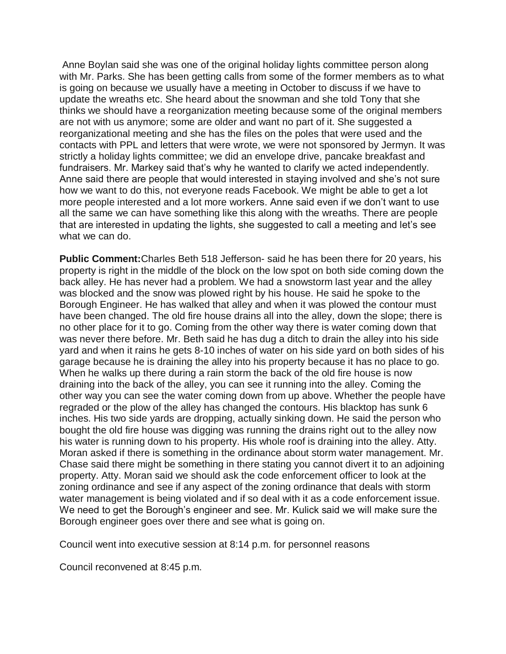Anne Boylan said she was one of the original holiday lights committee person along with Mr. Parks. She has been getting calls from some of the former members as to what is going on because we usually have a meeting in October to discuss if we have to update the wreaths etc. She heard about the snowman and she told Tony that she thinks we should have a reorganization meeting because some of the original members are not with us anymore; some are older and want no part of it. She suggested a reorganizational meeting and she has the files on the poles that were used and the contacts with PPL and letters that were wrote, we were not sponsored by Jermyn. It was strictly a holiday lights committee; we did an envelope drive, pancake breakfast and fundraisers. Mr. Markey said that's why he wanted to clarify we acted independently. Anne said there are people that would interested in staying involved and she's not sure how we want to do this, not everyone reads Facebook. We might be able to get a lot more people interested and a lot more workers. Anne said even if we don't want to use all the same we can have something like this along with the wreaths. There are people that are interested in updating the lights, she suggested to call a meeting and let's see what we can do.

**Public Comment:**Charles Beth 518 Jefferson- said he has been there for 20 years, his property is right in the middle of the block on the low spot on both side coming down the back alley. He has never had a problem. We had a snowstorm last year and the alley was blocked and the snow was plowed right by his house. He said he spoke to the Borough Engineer. He has walked that alley and when it was plowed the contour must have been changed. The old fire house drains all into the alley, down the slope; there is no other place for it to go. Coming from the other way there is water coming down that was never there before. Mr. Beth said he has dug a ditch to drain the alley into his side yard and when it rains he gets 8-10 inches of water on his side yard on both sides of his garage because he is draining the alley into his property because it has no place to go. When he walks up there during a rain storm the back of the old fire house is now draining into the back of the alley, you can see it running into the alley. Coming the other way you can see the water coming down from up above. Whether the people have regraded or the plow of the alley has changed the contours. His blacktop has sunk 6 inches. His two side yards are dropping, actually sinking down. He said the person who bought the old fire house was digging was running the drains right out to the alley now his water is running down to his property. His whole roof is draining into the alley. Atty. Moran asked if there is something in the ordinance about storm water management. Mr. Chase said there might be something in there stating you cannot divert it to an adjoining property. Atty. Moran said we should ask the code enforcement officer to look at the zoning ordinance and see if any aspect of the zoning ordinance that deals with storm water management is being violated and if so deal with it as a code enforcement issue. We need to get the Borough's engineer and see. Mr. Kulick said we will make sure the Borough engineer goes over there and see what is going on.

Council went into executive session at 8:14 p.m. for personnel reasons

Council reconvened at 8:45 p.m.